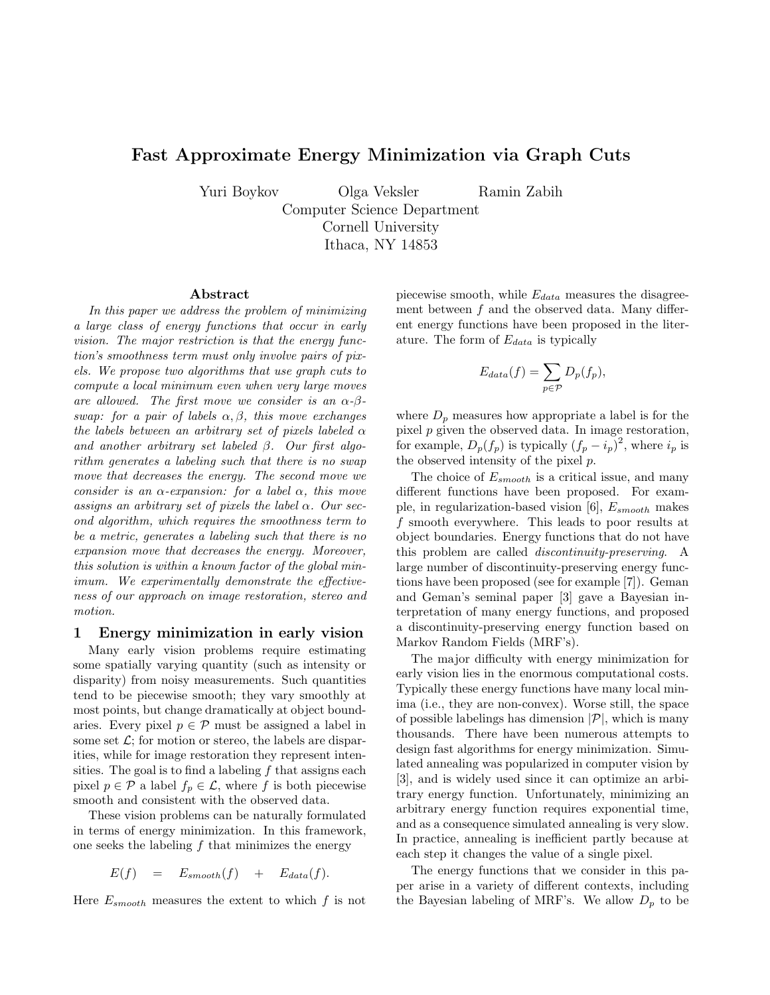# **Fast Approximate Energy Minimization via Graph Cuts**

Yuri Boykov Olga Veksler Ramin Zabih<br>Computer Science Department Cornell University  $I<sub>thaca</sub>$  NV  $14853$ 

Ithaca, 14853

#### **Abstract**

*In this paper we address the problem of minimizing a large class of energy functions that occur in early vision. The major restriction is that the energy function's smoothness term must only involve pairs of pixels. We propose two algorithms that use graph cuts to compute a local minimum even when very large moves are allowed. The first move we consider is an* α*-*β*swap: for a pair of labels* α, β*, this move exchanges the labels between an arbitrary set of pixels labeled* α *and another arbitrary set labeled* β*. Our first algorithm generates a labeling such that there is no swap move that decreases the energy. The second move we consider is an* α*-expansion: for a label* α*, this move assigns an arbitrary set of pixels the label* α*. Our second algorithm, which requires the smoothness term to be a metric, generates a labeling such that there is no expansion move that decreases the energy. Moreover, this solution is within a known factor of the global minimum. We experimentally demonstrate the effectiveness of our approach on image restoration, stereo and motion.*

### **1 Energy minimization in early vision**

Many early vision problems require estimating some spatially varying quantity (such as intensity or disparity) from noisy measurements. Such quantities tend to be piecewise smooth; they vary smoothly at most points, but change dramatically at object boundaries. Every pixel  $p \in \mathcal{P}$  must be assigned a label in some set  $\mathcal{L}$ ; for motion or stereo, the labels are disparities, while for image restoration they represent intensities. The goal is to find a labeling  $f$  that assigns each pixel  $p \in \mathcal{P}$  a label  $f_p \in \mathcal{L}$ , where f is both piecewise smooth and consistent with the observed data.

These vision problems can be naturally formulated in terms of energy minimization. In this framework, one seeks the labeling  $f$  that minimizes the energy

$$
E(f) = E_{smooth}(f) + E_{data}(f).
$$

Here  $E_{smooth}$  measures the extent to which f is not

piecewise smooth, while  $E_{data}$  measures the disagreement between  $f$  and the observed data. Many different energy functions have been proposed in the literature. The form of  $E_{data}$  is typically

$$
E_{data}(f) = \sum_{p \in \mathcal{P}} D_p(f_p),
$$

where  $D_p$  measures how appropriate a label is for the pixel  $p$  given the observed data. In image restoration, for example,  $D_p(f_p)$  is typically  $(f_p - i_p)^2$ , where  $i_p$  is the observed intensity of the pixel p.

The choice of  $E_{smooth}$  is a critical issue, and many different functions have been proposed. For example, in regularization-based vision [6],  $E_{smooth}$  makes f smooth everywhere. This leads to poor results at object boundaries. Energy functions that do not have this problem are called *discontinuity-preserving*. A large number of discontinuity-preserving energy functions have been proposed (see for example [7]). Geman and Geman's seminal paper [3] gave a Bayesian interpretation of many energy functions, and proposed a discontinuity-preserving energy function based on Markov Random Fields (MRF's).

The major difficulty with energy minimization for early vision lies in the enormous computational costs. Typically these energy functions have many local minima (i.e., they are non-convex). Worse still, the space of possible labelings has dimension  $|\mathcal{P}|$ , which is many thousands. There have been numerous attempts to design fast algorithms for energy minimization. Simulated annealing was popularized in computer vision by [3], and is widely used since it can optimize an arbitrary energy function. Unfortunately, minimizing an arbitrary energy function requires exponential time, and as a consequence simulated annealing is very slow. In practice, annealing is inefficient partly because at each step it changes the value of a single pixel.

The energy functions that we consider in this paper arise in a variety of different contexts, including the Bayesian labeling of MRF's. We allow  $D_p$  to be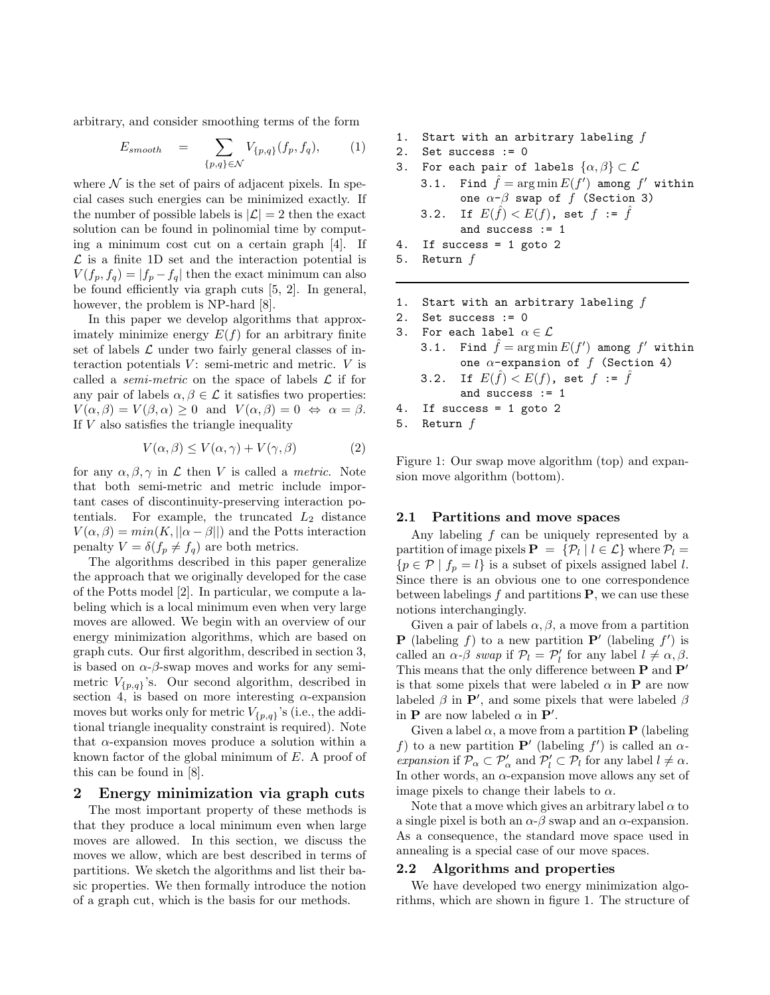arbitrary, and consider smoothing terms of the form

$$
E_{smooth} = \sum_{\{p,q\} \in \mathcal{N}} V_{\{p,q\}}(f_p, f_q), \qquad (1)
$$

where  $\mathcal N$  is the set of pairs of adjacent pixels. In special cases such energies can be minimized exactly. If the number of possible labels is  $|\mathcal{L}| = 2$  then the exact solution can be found in polinomial time by computing a minimum cost cut on a certain graph [4]. If  $\mathcal L$  is a finite 1D set and the interaction potential is  $V(f_p, f_q) = |f_p - f_q|$  then the exact minimum can also be found efficiently via graph cuts [5, 2]. In general, however, the problem is NP-hard [8].

In this paper we develop algorithms that approximately minimize energy  $E(f)$  for an arbitrary finite set of labels  $\mathcal L$  under two fairly general classes of interaction potentials  $V$ : semi-metric and metric.  $V$  is called a *semi-metric* on the space of labels  $\mathcal{L}$  if for any pair of labels  $\alpha, \beta \in \mathcal{L}$  it satisfies two properties:  $V(\alpha, \beta) = V(\beta, \alpha) > 0$  and  $V(\alpha, \beta) = 0 \Leftrightarrow \alpha = \beta$ . If  $V$  also satisfies the triangle inequality

$$
V(\alpha, \beta) \le V(\alpha, \gamma) + V(\gamma, \beta) \tag{2}
$$

for any  $\alpha, \beta, \gamma$  in  $\mathcal L$  then V is called a *metric*. Note that both semi-metric and metric include important cases of discontinuity-preserving interaction potentials. For example, the truncated  $L_2$  distance  $V(\alpha, \beta) = min(K, ||\alpha - \beta||)$  and the Potts interaction penalty  $V = \delta(f_p \neq f_q)$  are both metrics.

The algorithms described in this paper generalize the approach that we originally developed for the case of the Potts model [2]. In particular, we compute a labeling which is a local minimum even when very large moves are allowed. We begin with an overview of our energy minimization algorithms, which are based on graph cuts. Our first algorithm, described in section 3, is based on  $\alpha$ - $\beta$ -swap moves and works for any semimetric  $V_{\{p,q\}}$ 's. Our second algorithm, described in section 4, is based on more interesting  $\alpha$ -expansion moves but works only for metric  $V_{\{p,q\}}$ 's (i.e., the additional triangle inequality constraint is required). Note that  $\alpha$ -expansion moves produce a solution within a known factor of the global minimum of E. A proof of this can be found in [8].

## **2 Energy minimization via graph cuts**

The most important property of these methods is that they produce a local minimum even when large moves are allowed. In this section, we discuss the moves we allow, which are best described in terms of partitions. We sketch the algorithms and list their basic properties. We then formally introduce the notion of a graph cut, which is the basis for our methods.

- 1. Start with an arbitrary labeling  $f$
- 2. Set success := 0
- 3. For each pair of labels  $\{\alpha,\beta\}\subset\mathcal{L}$
- 3.1. Find  $\hat{f} = \arg \min E(f')$  among  $f'$  within one  $\alpha-\beta$  swap of f (Section 3) 3.2. If  $E(\hat{f}) < E(f)$ , set  $f := \hat{f}$ and success := 1

- 4. If success = 1 goto 2
- 5. Return f
- 1. Start with an arbitrary labeling  $f$
- 2. Set success := 0
- 3. For each label  $\alpha \in \mathcal{L}$
- 3.1. Find  $\hat{f} = \arg \min E(f')$  among  $f'$  within one  $\alpha$ -expansion of  $f$  (Section 4) 3.2. If  $E(f) < E(f)$ , set  $f := f$ and success := 1 4. If success = 1 goto 2
- 5. Return f

Figure 1: Our swap move algorithm (top) and expansion move algorithm (bottom).

### **2.1 Partitions and move spaces**

Any labeling  $f$  can be uniquely represented by a partition of image pixels  $P = \{P_l | l \in \mathcal{L}\}\$  where  $P_l =$  ${p \in \mathcal{P} | f_p = l}$  is a subset of pixels assigned label l. Since there is an obvious one to one correspondence between labelings  $f$  and partitions  $P$ , we can use these notions interchangingly.

Given a pair of labels  $\alpha, \beta$ , a move from a partition **P** (labeling f) to a new partition **P**<sup> $\prime$ </sup> (labeling f<sup> $\prime$ </sup>) is called an  $\alpha$ - $\beta$  *swap* if  $\mathcal{P}_l = \mathcal{P}'_l$  for any label  $l \neq \alpha, \beta$ . This means that the only difference between **P** and **P**<sup>0</sup> is that some pixels that were labeled  $\alpha$  in **P** are now labeled  $\beta$  in **P'**, and some pixels that were labeled  $\beta$ in **P** are now labeled  $\alpha$  in **P**'.

Given a label  $\alpha$ , a move from a partition **P** (labeling f) to a new partition  $P'$  (labeling f') is called an  $\alpha$ *expansion* if  $\mathcal{P}_{\alpha} \subset \mathcal{P}'_{\alpha}$  and  $\mathcal{P}'_l \subset \mathcal{P}_l$  for any label  $l \neq \alpha$ . In other words, an  $\alpha$ -expansion move allows any set of image pixels to change their labels to  $\alpha$ .

Note that a move which gives an arbitrary label  $\alpha$  to a single pixel is both an  $\alpha$ - $\beta$  swap and an  $\alpha$ -expansion. As a consequence, the standard move space used in annealing is a special case of our move spaces.

#### **2.2 Algorithms and properties**

We have developed two energy minimization algorithms, which are shown in figure 1. The structure of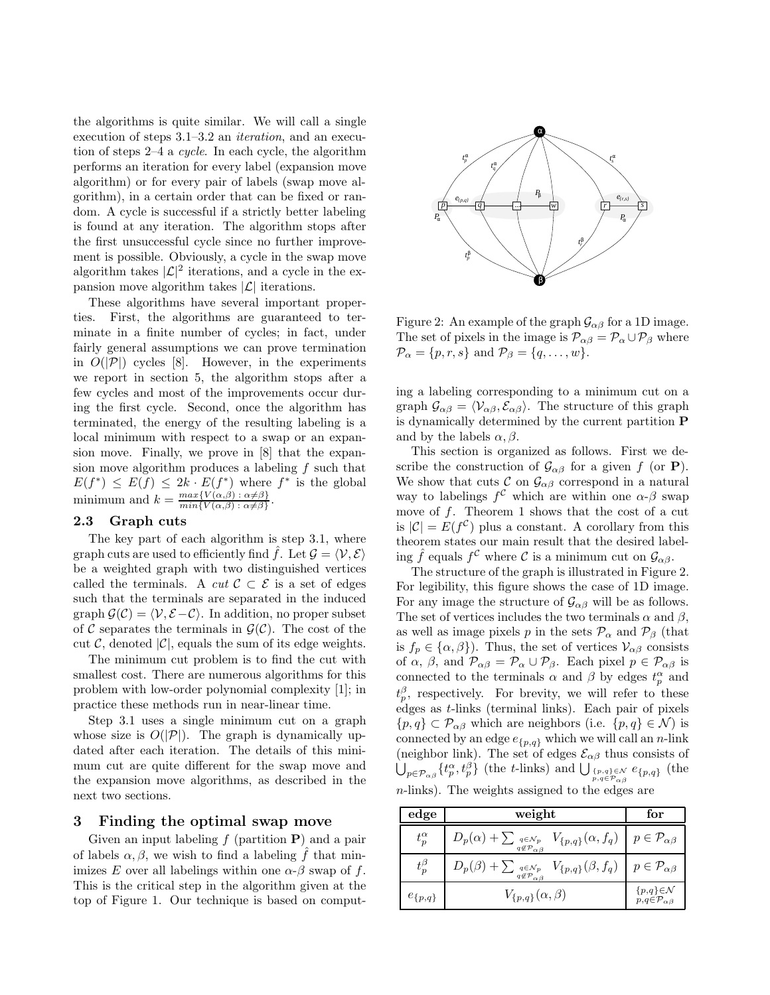the algorithms is quite similar. We will call a single execution of steps 3.1–3.2 an *iteration*, and an execution of steps 2–4 a *cycle*. In each cycle, the algorithm performs an iteration for every label (expansion move algorithm) or for every pair of labels (swap move algorithm), in a certain order that can be fixed or random. A cycle is successful if a strictly better labeling is found at any iteration. The algorithm stops after the first unsuccessful cycle since no further improvement is possible. Obviously, a cycle in the swap move algorithm takes  $|\mathcal{L}|^2$  iterations, and a cycle in the expansion move algorithm takes  $|\mathcal{L}|$  iterations.

These algorithms have several important properties. First, the algorithms are guaranteed to terminate in a finite number of cycles; in fact, under fairly general assumptions we can prove termination in  $O(|\mathcal{P}|)$  cycles [8]. However, in the experiments we report in section 5, the algorithm stops after a few cycles and most of the improvements occur during the first cycle. Second, once the algorithm has terminated, the energy of the resulting labeling is a local minimum with respect to a swap or an expansion move. Finally, we prove in [8] that the expansion move algorithm produces a labeling  $f$  such that  $E(f^*) \leq E(f) \leq 2k \cdot E(f^*)$  where  $f^*$  is the global minimum and  $k = \frac{max\{V(\alpha, \beta) : \alpha \neq \beta\}}{min\{V(\alpha, \beta) : \alpha \neq \beta\}}$ .

#### **2.3 Graph cuts**

The key part of each algorithm is step 3.1, where graph cuts are used to efficiently find  $\hat{f}$ . Let  $\mathcal{G} = \langle \mathcal{V}, \mathcal{E} \rangle$ be a weighted graph with two distinguished vertices called the terminals. A *cut*  $C \subset \mathcal{E}$  is a set of edges such that the terminals are separated in the induced graph  $\mathcal{G}(\mathcal{C}) = \langle \mathcal{V}, \mathcal{E} - \mathcal{C} \rangle$ . In addition, no proper subset of C separates the terminals in  $\mathcal{G}(\mathcal{C})$ . The cost of the cut  $\mathcal{C}$ , denoted  $|\mathcal{C}|$ , equals the sum of its edge weights.

The minimum cut problem is to find the cut with smallest cost. There are numerous algorithms for this problem with low-order polynomial complexity [1]; in practice these methods run in near-linear time.

Step 3.1 uses a single minimum cut on a graph whose size is  $O(|\mathcal{P}|)$ . The graph is dynamically updated after each iteration. The details of this minimum cut are quite different for the swap move and the expansion move algorithms, as described in the next two sections.

## **3 Finding the optimal swap move**

Given an input labeling f (partition **P**) and a pair of labels  $\alpha, \beta$ , we wish to find a labeling  $\hat{f}$  that minimizes E over all labelings within one  $\alpha$ - $\beta$  swap of f. This is the critical step in the algorithm given at the top of Figure 1. Our technique is based on comput-



Figure 2: An example of the graph  $\mathcal{G}_{\alpha\beta}$  for a 1D image. The set of pixels in the image is  $\mathcal{P}_{\alpha\beta} = \mathcal{P}_{\alpha} \cup \mathcal{P}_{\beta}$  where  $\mathcal{P}_{\alpha} = \{p, r, s\}$  and  $\mathcal{P}_{\beta} = \{q, \dots, w\}.$ 

ing a labeling corresponding to a minimum cut on a graph  $\mathcal{G}_{\alpha\beta} = \langle \mathcal{V}_{\alpha\beta}, \mathcal{E}_{\alpha\beta} \rangle$ . The structure of this graph is dynamically determined by the current partition **P** and by the labels  $\alpha, \beta$ .

This section is organized as follows. First we describe the construction of  $\mathcal{G}_{\alpha\beta}$  for a given f (or **P**). We show that cuts  $\mathcal{C}$  on  $\mathcal{G}_{\alpha\beta}$  correspond in a natural way to labelings  $f^{\mathcal{C}}$  which are within one  $\alpha$ - $\beta$  swap move of  $f$ . Theorem 1 shows that the cost of a cut is  $|\mathcal{C}| = E(f^{\mathcal{C}})$  plus a constant. A corollary from this theorem states our main result that the desired labeling  $\hat{f}$  equals  $f^{\mathcal{C}}$  where  $\mathcal{C}$  is a minimum cut on  $\mathcal{G}_{\alpha\beta}$ .

The structure of the graph is illustrated in Figure 2. For legibility, this figure shows the case of 1D image. For any image the structure of  $\mathcal{G}_{\alpha\beta}$  will be as follows. The set of vertices includes the two terminals  $\alpha$  and  $\beta$ , as well as image pixels p in the sets  $\mathcal{P}_{\alpha}$  and  $\mathcal{P}_{\beta}$  (that is  $f_p \in {\alpha, \beta}$ . Thus, the set of vertices  $V_{\alpha\beta}$  consists of  $\alpha$ ,  $\beta$ , and  $\mathcal{P}_{\alpha\beta} = \mathcal{P}_{\alpha} \cup \mathcal{P}_{\beta}$ . Each pixel  $p \in \mathcal{P}_{\alpha\beta}$  is connected to the terminals  $\alpha$  and  $\beta$  by edges  $t_n^{\alpha}$  and  $t_p^{\beta}$ , respectively. For brevity, we will refer to these edges as t-links (terminal links). Each pair of pixels  $\{p,q\}\subset\mathcal{P}_{\alpha\beta}$  which are neighbors (i.e.  $\{p,q\}\in\mathcal{N}$ ) is connected by an edge  $e_{p,q}$  which we will call an n-link (neighbor link). The set of edges  $\mathcal{E}_{\alpha\beta}$  thus consists of  $\bigcup_{p \in \mathcal{P}_{\alpha\beta}} \{t_p^{\alpha}, t_p^{\beta}\}\$  (the t-links) and  $\bigcup_{p,q \in \mathcal{P}_{\alpha\beta}}^{r_{p,q}\}_{\beta\alpha}$  (the n-links). The weights assigned to the edges are

| edge             | weight                                                                                                                                                           | for                                                           |  |
|------------------|------------------------------------------------------------------------------------------------------------------------------------------------------------------|---------------------------------------------------------------|--|
| $t_{p}^{\alpha}$ | $D_p(\alpha)+\sum\nolimits_{\substack{q\in\mathcal{N}_p\\ q\not\in\mathcal{P}_{\alpha\beta}}} V_{\{p,q\}}(\alpha,f_q)\ \ \Big \ \ p\in\mathcal{P}_{\alpha\beta}$ |                                                               |  |
| $t_{p}^{\beta}$  | $D_p(\beta)+\textstyle\sum_{q\notin \mathcal{P}_{\alpha\beta}}\;V_{\{p,q\}}(\beta,f_q)$                                                                          | $p \in \mathcal{P}_{\alpha\beta}$                             |  |
| $e_{\{p,q\}}$    | $V_{\{p,q\}}(\alpha,\beta)$                                                                                                                                      | $\{p,q\} \in \mathcal{N}$<br>$p,q \in {\cal P}_{\alpha\beta}$ |  |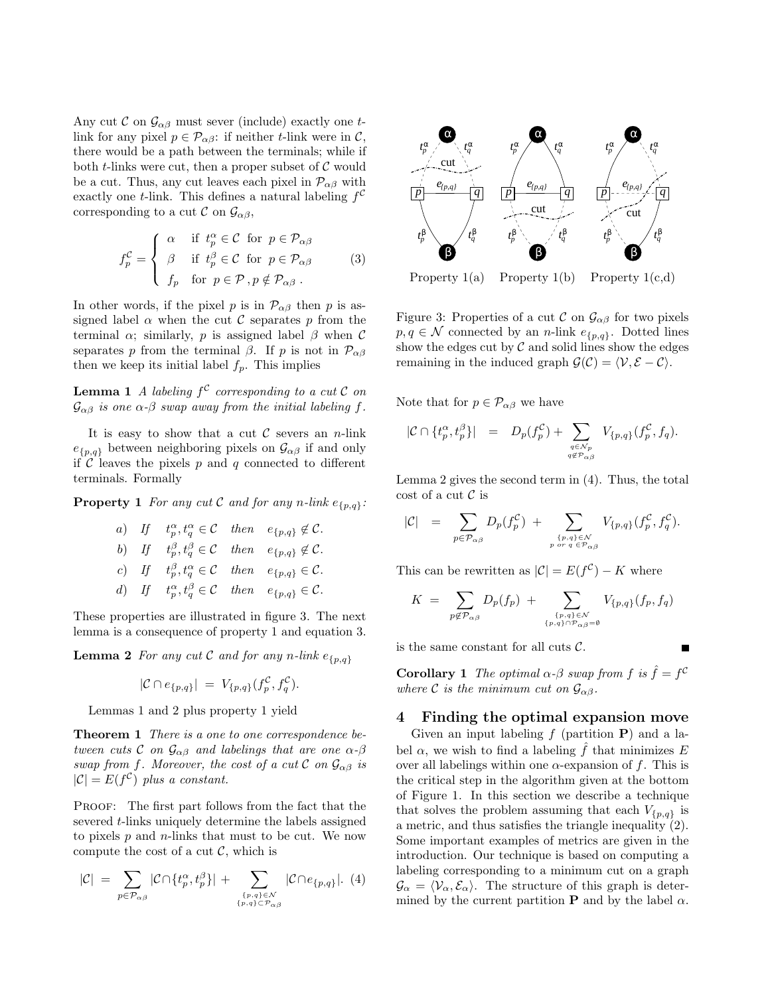Any cut C on  $\mathcal{G}_{\alpha\beta}$  must sever (include) exactly one tlink for any pixel  $p \in \mathcal{P}_{\alpha\beta}$ : if neither t-link were in C, there would be a path between the terminals; while if both  $t$ -links were cut, then a proper subset of  $\mathcal C$  would be a cut. Thus, any cut leaves each pixel in  $\mathcal{P}_{\alpha\beta}$  with exactly one t-link. This defines a natural labeling  $f^C$ corresponding to a cut  $\mathcal{C}$  on  $\mathcal{G}_{\alpha\beta}$ ,

$$
f_p^{\mathcal{C}} = \begin{cases} \alpha & \text{if } t_p^{\alpha} \in \mathcal{C} \text{ for } p \in \mathcal{P}_{\alpha\beta} \\ \beta & \text{if } t_p^{\beta} \in \mathcal{C} \text{ for } p \in \mathcal{P}_{\alpha\beta} \\ f_p & \text{for } p \in \mathcal{P}, p \notin \mathcal{P}_{\alpha\beta} \end{cases}
$$
 (3)

In other words, if the pixel p is in  $\mathcal{P}_{\alpha\beta}$  then p is assigned label  $\alpha$  when the cut C separates p from the terminal  $\alpha$ ; similarly, p is assigned label  $\beta$  when C separates p from the terminal  $\beta$ . If p is not in  $\mathcal{P}_{\alpha\beta}$ then we keep its initial label  $f_p$ . This implies

**Lemma 1** *A labeling*  $f^C$  *corresponding to a cut*  $C$  *on*  $\mathcal{G}_{\alpha\beta}$  *is one*  $\alpha$ - $\beta$  *swap away from the initial labeling*  $f$ *.* 

It is easy to show that a cut  $\mathcal C$  severs an *n*-link  $e_{p,q}$  between neighboring pixels on  $\mathcal{G}_{\alpha\beta}$  if and only if  $\mathcal C$  leaves the pixels  $p$  and  $q$  connected to different terminals. Formally

**Property 1** *For any cut*  $C$  *and for any*  $n$ *-link*  $e_{\{p,q\}}$ *:* 

\n- a) If 
$$
t_p^{\alpha}, t_q^{\alpha} \in \mathcal{C}
$$
 then  $e_{\{p,q\}} \notin \mathcal{C}$ .
\n- b) If  $t_p^{\beta}, t_q^{\beta} \in \mathcal{C}$  then  $e_{\{p,q\}} \notin \mathcal{C}$ .
\n- c) If  $t_p^{\beta}, t_q^{\alpha} \in \mathcal{C}$  then  $e_{\{p,q\}} \in \mathcal{C}$ .
\n- d) If  $t_p^{\alpha}, t_q^{\beta} \in \mathcal{C}$  then  $e_{\{p,q\}} \in \mathcal{C}$ .
\n

These properties are illustrated in figure 3. The next lemma is a consequence of property 1 and equation 3.

**Lemma 2** *For any cut*  $C$  *and for any n*-link  $e_{p,q}$ 

$$
|\mathcal{C} \cap e_{\{p,q\}}| = V_{\{p,q\}}(f_p^{\mathcal{C}}, f_q^{\mathcal{C}}).
$$

Lemmas 1 and 2 plus property 1 yield

**Theorem 1** *There is a one to one correspondence between cuts*  $\mathcal{C}$  *on*  $\mathcal{G}_{\alpha\beta}$  *and labelings that are one*  $\alpha$ *-* $\beta$ *swap from f. Moreover, the cost of a cut*  $\mathcal{C}$  *on*  $\mathcal{G}_{\alpha\beta}$  *is*  $|\mathcal{C}| = E(f^{\mathcal{C}})$  *plus a constant.* 

PROOF: The first part follows from the fact that the severed t-links uniquely determine the labels assigned to pixels  $p$  and  $n$ -links that must to be cut. We now compute the cost of a cut  $\mathcal{C}$ , which is

$$
|\mathcal{C}| = \sum_{p \in \mathcal{P}_{\alpha\beta}} |\mathcal{C} \cap \{t_p^{\alpha}, t_p^{\beta}\}| + \sum_{\substack{\{p,q\} \in \mathcal{N} \\ \{p,q\} \subset \mathcal{P}_{\alpha\beta}}} |\mathcal{C} \cap e_{\{p,q\}}|.
$$
 (4)



Property  $1(a)$  Property  $1(b)$  Property  $1(c,d)$ 

Figure 3: Properties of a cut  $\mathcal{C}$  on  $\mathcal{G}_{\alpha\beta}$  for two pixels  $p, q \in \mathcal{N}$  connected by an *n*-link  $e_{\{p,q\}}$ . Dotted lines show the edges cut by  $\mathcal C$  and solid lines show the edges remaining in the induced graph  $\mathcal{G}(\mathcal{C}) = \langle \mathcal{V}, \mathcal{E} - \mathcal{C} \rangle$ .

Note that for  $p \in \mathcal{P}_{\alpha\beta}$  we have

$$
|\mathcal{C} \cap \{t_p^{\alpha}, t_p^{\beta}\}| = D_p(f_p^{\mathcal{C}}) + \sum_{q \in \mathcal{N}_p \atop q \notin \mathcal{P}_{\alpha\beta}} V_{\{p,q\}}(f_p^{\mathcal{C}}, f_q).
$$

Lemma 2 gives the second term in (4). Thus, the total cost of a cut  $\mathcal C$  is

$$
|\mathcal{C}| = \sum_{p \in \mathcal{P}_{\alpha\beta}} D_p(f_p^{\mathcal{C}}) + \sum_{\substack{\{p,q\} \in \mathcal{N} \\ p \text{ or } q \in \mathcal{P}_{\alpha\beta}}} V_{\{p,q\}}(f_p^{\mathcal{C}}, f_q^{\mathcal{C}}).
$$

This can be rewritten as  $|\mathcal{C}| = E(f^{\mathcal{C}}) - K$  where

$$
K = \sum_{p \notin \mathcal{P}_{\alpha\beta}} D_p(f_p) + \sum_{\substack{\{p,q\} \in \mathcal{N} \\ \{p,q\} \cap \mathcal{P}_{\alpha\beta} = \emptyset}} V_{\{p,q\}}(f_p, f_q)
$$

is the same constant for all cuts  $\mathcal{C}$ .

**Corollary 1** *The optimal*  $\alpha$ - $\beta$  *swap from*  $f$  *is*  $\hat{f} = f^C$ *where* C *is the minimum cut on*  $\mathcal{G}_{\alpha\beta}$ *.* 

## **4 Finding the optimal expansion move**

Given an input labeling  $f$  (partition  $P$ ) and a label  $\alpha$ , we wish to find a labeling  $\hat{f}$  that minimizes E over all labelings within one  $\alpha$ -expansion of f. This is the critical step in the algorithm given at the bottom of Figure 1. In this section we describe a technique that solves the problem assuming that each  $V_{p,q}$  is a metric, and thus satisfies the triangle inequality (2). Some important examples of metrics are given in the introduction. Our technique is based on computing a labeling corresponding to a minimum cut on a graph  $\mathcal{G}_{\alpha} = \langle \mathcal{V}_{\alpha}, \mathcal{E}_{\alpha} \rangle$ . The structure of this graph is determined by the current partition **P** and by the label  $\alpha$ .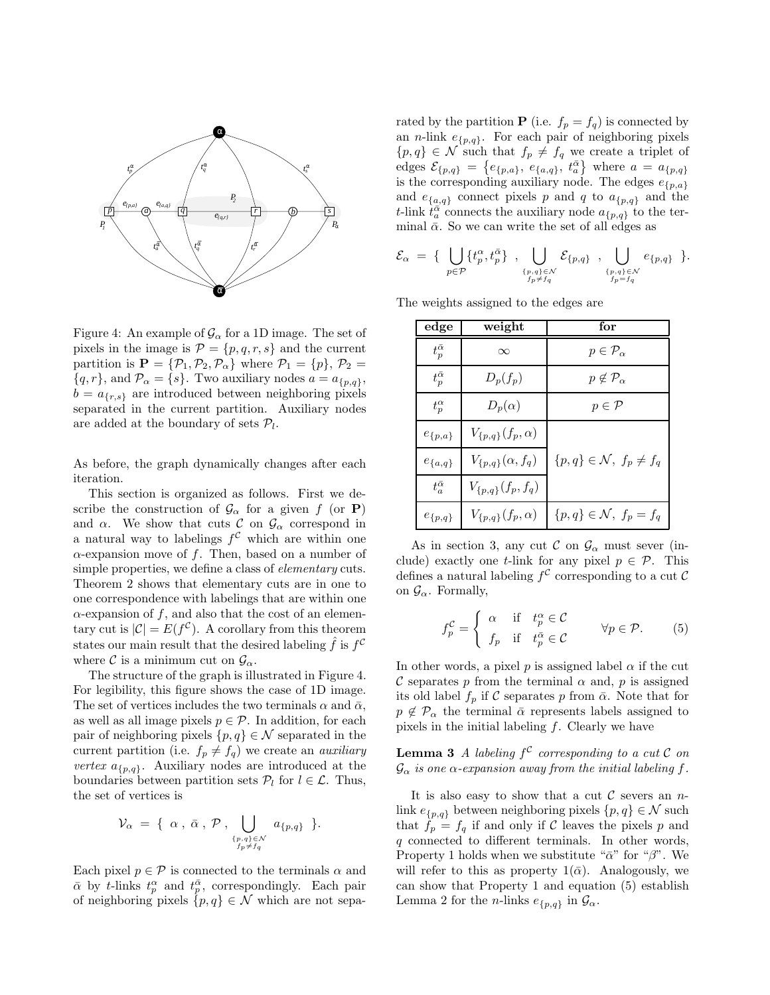

Figure 4: An example of  $\mathcal{G}_{\alpha}$  for a 1D image. The set of pixels in the image is  $\mathcal{P} = \{p, q, r, s\}$  and the current partition is  $\mathbf{P} = {\mathcal{P}_1, \mathcal{P}_2, \mathcal{P}_\alpha}$  where  $\mathcal{P}_1 = {p}, \mathcal{P}_2 =$  ${q, r}$ , and  $P_{\alpha} = {s}$ . Two auxiliary nodes  $a = a_{p,q}$ ,  $b = a_{\{r,s\}}$  are introduced between neighboring pixels separated in the current partition. Auxiliary nodes are added at the boundary of sets  $P_l$ .

As before, the graph dynamically changes after each iteration.

This section is organized as follows. First we describe the construction of  $\mathcal{G}_{\alpha}$  for a given f (or **P**) and  $\alpha$ . We show that cuts  $\mathcal{C}$  on  $\mathcal{G}_{\alpha}$  correspond in a natural way to labelings  $f^{\mathcal{C}}$  which are within one  $\alpha$ -expansion move of f. Then, based on a number of simple properties, we define a class of *elementary* cuts. Theorem 2 shows that elementary cuts are in one to one correspondence with labelings that are within one  $\alpha$ -expansion of f, and also that the cost of an elementary cut is  $|\mathcal{C}| = E(f^{\mathcal{C}})$ . A corollary from this theorem states our main result that the desired labeling  $\hat{f}$  is  $f^{\mathcal{C}}$ where C is a minimum cut on  $\mathcal{G}_{\alpha}$ .

The structure of the graph is illustrated in Figure 4. For legibility, this figure shows the case of 1D image. The set of vertices includes the two terminals  $\alpha$  and  $\bar{\alpha}$ , as well as all image pixels  $p \in \mathcal{P}$ . In addition, for each pair of neighboring pixels  $\{p, q\} \in \mathcal{N}$  separated in the current partition (i.e.  $f_p \neq f_q$ ) we create an *auxiliary vertex*  $a_{\{p,q\}}$ . Auxiliary nodes are introduced at the boundaries between partition sets  $\mathcal{P}_l$  for  $l \in \mathcal{L}$ . Thus, the set of vertices is

$$
\mathcal{V}_{\alpha} = \{ \alpha, \overline{\alpha}, \mathcal{P}, \bigcup_{\substack{\{p,q\} \in \mathcal{N} \\ f_p \neq f_q}} a_{\{p,q\}} \}.
$$

Each pixel  $p \in \mathcal{P}$  is connected to the terminals  $\alpha$  and  $\bar{\alpha}$  by t-links  $t_n^{\alpha}$  and  $t_n^{\bar{\alpha}}$ , correspondingly. Each pair of neighboring pixels  $\{p, q\} \in \mathcal{N}$  which are not separated by the partition **P** (i.e.  $f_p = f_q$ ) is connected by an *n*-link  $e_{\{p,q\}}$ . For each pair of neighboring pixels  $\{p,q\}\in\mathcal{N}$  such that  $f_p\neq f_q$  we create a triplet of edges  $\mathcal{E}_{\{p,q\}} = \{e_{\{p,a\}}, e_{\{a,q\}}, t_a^{\bar{\alpha}}\}$  where  $a = a_{\{p,q\}}$ is the corresponding auxiliary node. The edges  $e_{p,a}^{(1)}$ and  $e_{\{a,q\}}$  connect pixels p and q to  $a_{\{p,q\}}$  and the t-link  $t_a^{\alpha}$  connects the auxiliary node  $a_{p,q}$  to the terminal  $\bar{\alpha}$ . So we can write the set of all edges as

$$
\mathcal{E}_{\alpha} \ = \ \{ \ \bigcup_{p \in \mathcal{P}} \{ t_p^{\alpha}, t_p^{\bar{\alpha}} \} \ \ , \ \bigcup_{\substack{\{p,q\} \in \mathcal{N} \\ f_p \neq f_q}} \mathcal{E}_{\{p,q\}} \ \ , \ \bigcup_{\substack{\{p,q\} \in \mathcal{N} \\ f_p = f_q}} e_{\{p,q\}} \ \}.
$$

The weights assigned to the edges are

| edge                   | weight                     | for                                |  |  |
|------------------------|----------------------------|------------------------------------|--|--|
| $t_{p}^{\bar{\alpha}}$ | $\infty$                   | $p \in \mathcal{P}_{\alpha}$       |  |  |
| $t_{p}^{\bar{\alpha}}$ | $D_p(f_p)$                 | $p \notin \mathcal{P}_{\alpha}$    |  |  |
| $t_p^{\alpha}$         | $D_p(\alpha)$              | $p \in \mathcal{P}$                |  |  |
| $e_{\{p,a\}}$          | $V_{\{p,q\}}(f_p,\alpha)$  |                                    |  |  |
| $e_{\{a,q\}}$          | $V_{\{p,q\}}(\alpha, f_q)$ | ${p,q}\in\mathcal{N}, f_p\neq f_q$ |  |  |
| $t_a^{\bar{\alpha}}$   | $V_{\{p,q\}}(f_p, f_q)$    |                                    |  |  |
| $e_{\{p,q\}}$          | $V_{\{p,q\}}(f_p,\alpha)$  | $\{p,q\}\in\mathcal{N},\ f_p=f_q$  |  |  |

As in section 3, any cut C on  $\mathcal{G}_{\alpha}$  must sever (include) exactly one t-link for any pixel  $p \in \mathcal{P}$ . This defines a natural labeling  $f^{\mathcal{C}}$  corresponding to a cut  $\mathcal{C}$ on  $\mathcal{G}_{\alpha}$ . Formally,

$$
f_p^{\mathcal{C}} = \begin{cases} \alpha & \text{if } t_p^{\alpha} \in \mathcal{C} \\ f_p & \text{if } t_p^{\overline{\alpha}} \in \mathcal{C} \end{cases} \forall p \in \mathcal{P}.
$$
 (5)

In other words, a pixel p is assigned label  $\alpha$  if the cut C separates p from the terminal  $\alpha$  and, p is assigned its old label  $f_p$  if C separates p from  $\bar{\alpha}$ . Note that for  $p \notin \mathcal{P}_{\alpha}$  the terminal  $\bar{\alpha}$  represents labels assigned to pixels in the initial labeling  $f$ . Clearly we have

**Lemma 3** *A labeling*  $f^C$  *corresponding to a cut*  $C$  *on*  $\mathcal{G}_{\alpha}$  *is one*  $\alpha$ -expansion away from the initial labeling f.

It is also easy to show that a cut  $\mathcal C$  severs an nlink  $e_{p,q}$  between neighboring pixels  $\{p,q\} \in \mathcal{N}$  such that  $f_p = f_q$  if and only if C leaves the pixels p and q connected to different terminals. In other words, Property 1 holds when we substitute " $\bar{\alpha}$ " for " $\beta$ ". We will refer to this as property  $1(\bar{\alpha})$ . Analogously, we can show that Property 1 and equation (5) establish Lemma 2 for the *n*-links  $e_{p,q}$  in  $\mathcal{G}_{\alpha}$ .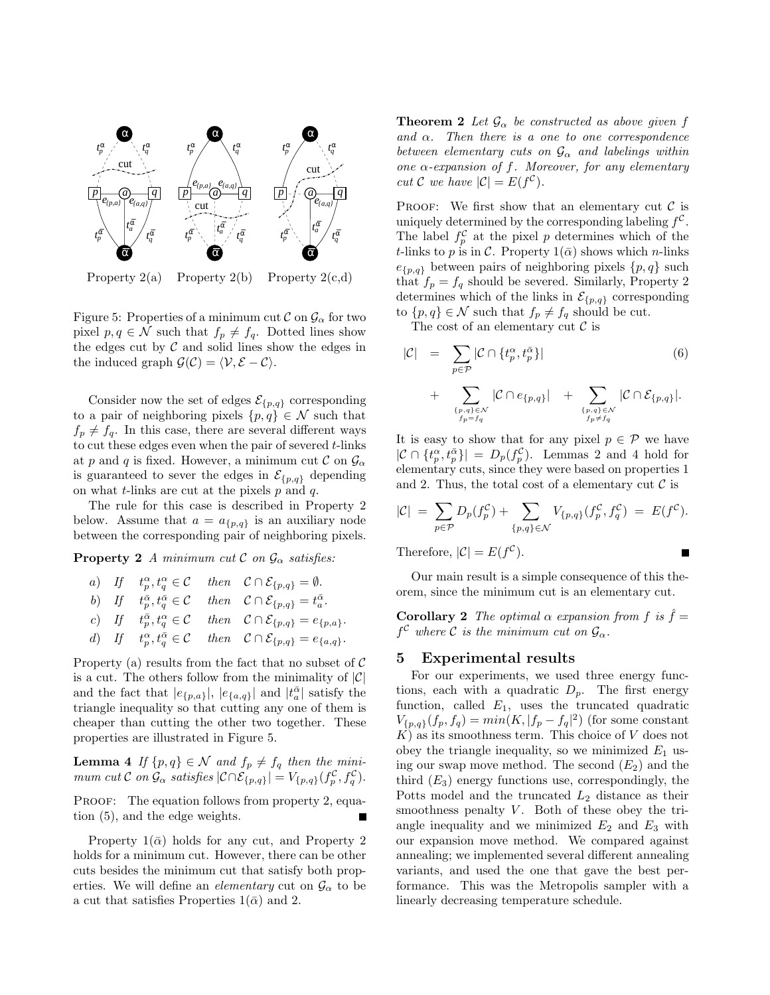

Property  $2(a)$  Property  $2(b)$  Property  $2(c,d)$ 

Figure 5: Properties of a minimum cut  $\mathcal{C}$  on  $\mathcal{G}_{\alpha}$  for two pixel  $p, q \in \mathcal{N}$  such that  $f_p \neq f_q$ . Dotted lines show the edges cut by  $C$  and solid lines show the edges in the induced graph  $\mathcal{G}(\mathcal{C}) = \langle \mathcal{V}, \mathcal{E} - \mathcal{C} \rangle$ .

Consider now the set of edges  $\mathcal{E}_{\{p,q\}}$  corresponding to a pair of neighboring pixels  $\{p, q\} \in \mathcal{N}$  such that  $f_p \neq f_q$ . In this case, there are several different ways to cut these edges even when the pair of severed  $t$ -links at p and q is fixed. However, a minimum cut C on  $\mathcal{G}_{\alpha}$ is guaranteed to sever the edges in  $\mathcal{E}_{\{p,q\}}$  depending on what  $t$ -links are cut at the pixels  $p$  and  $q$ .

The rule for this case is described in Property 2 below. Assume that  $a = a_{\{p,q\}}$  is an auxiliary node between the corresponding pair of neighboring pixels.

**Property 2** *A minimum cut*  $\mathcal{C}$  *on*  $\mathcal{G}_{\alpha}$  *satisfies:* 

\n- a) If 
$$
t_p^{\alpha}, t_q^{\alpha} \in \mathcal{C}
$$
 then  $\mathcal{C} \cap \mathcal{E}_{\{p,q\}} = \emptyset$ .
\n- b) If  $t_p^{\bar{\alpha}}, t_q^{\bar{\alpha}} \in \mathcal{C}$  then  $\mathcal{C} \cap \mathcal{E}_{\{p,q\}} = t_a^{\bar{\alpha}}$ .
\n- c) If  $t_p^{\bar{\alpha}}, t_q^{\alpha} \in \mathcal{C}$  then  $\mathcal{C} \cap \mathcal{E}_{\{p,q\}} = e_{\{p,q\}}$ .
\n- d) If  $t_p^{\alpha}, t_q^{\bar{\alpha}} \in \mathcal{C}$  then  $\mathcal{C} \cap \mathcal{E}_{\{p,q\}} = e_{\{a,q\}}$ .
\n

Property (a) results from the fact that no subset of  $\mathcal C$ is a cut. The others follow from the minimality of  $|\mathcal{C}|$ and the fact that  $|e_{p,a}\rangle, |e_{a,q}\rangle$  and  $|t_a^{\bar{\alpha}}|$  satisfy the triangle inequality so that cutting any one of them is cheaper than cutting the other two together. These properties are illustrated in Figure 5.

**Lemma 4** *If*  $\{p,q\} \in \mathcal{N}$  *and*  $f_p \neq f_q$  *then the minimum cut*  $C$  *on*  $\mathcal{G}_{\alpha}$  *satisfies*  $|\mathcal{C} \cap \mathcal{E}_{\{p,q\}}| = V_{\{p,q\}}(f_p^{\mathcal{C}}, f_q^{\mathcal{C}})$ .

PROOF: The equation follows from property 2, equation (5), and the edge weights.

Property  $1(\bar{\alpha})$  holds for any cut, and Property 2 holds for a minimum cut. However, there can be other cuts besides the minimum cut that satisfy both properties. We will define an *elementary* cut on  $\mathcal{G}_{\alpha}$  to be a cut that satisfies Properties  $1(\bar{\alpha})$  and 2.

**Theorem 2** Let  $\mathcal{G}_{\alpha}$  be constructed as above given f *and* α*. Then there is a one to one correspondence between elementary cuts on*  $G_{\alpha}$  *and labelings within one* α*-expansion of* f*. Moreover, for any elementary cut*  $C$  *we have*  $|C| = E(f^C)$ *.* 

PROOF: We first show that an elementary cut  $\mathcal C$  is uniquely determined by the corresponding labeling  $f^{\mathcal{C}}$ . The label  $f_p^{\mathcal{C}}$  at the pixel p determines which of the t-links to p is in C. Property  $1(\bar{\alpha})$  shows which n-links  $e_{p,q}$  between pairs of neighboring pixels  $\{p,q\}$  such that  $f_p = f_q$  should be severed. Similarly, Property 2 determines which of the links in  $\mathcal{E}_{\{p,q\}}$  corresponding to  $\{p,q\} \in \mathcal{N}$  such that  $f_p \neq f_q$  should be cut.

The cost of an elementary cut  $\mathcal C$  is

$$
|\mathcal{C}| = \sum_{p \in \mathcal{P}} |\mathcal{C} \cap \{t_p^{\alpha}, t_p^{\overline{\alpha}}\}|
$$
(6)  
+ 
$$
\sum_{\substack{\{p,q\} \in \mathcal{N} \\ f_p = f_q}} |\mathcal{C} \cap e_{\{p,q\}}| + \sum_{\substack{\{p,q\} \in \mathcal{N} \\ f_p \neq f_q}} |\mathcal{C} \cap \mathcal{E}_{\{p,q\}}|.
$$

It is easy to show that for any pixel  $p \in \mathcal{P}$  we have  $|\mathcal{C} \cap \{t_p^{\alpha}, t_p^{\bar{\alpha}}\}| = D_p(f_p^{\mathcal{C}})$ . Lemmas 2 and 4 hold for elementary cuts, since they were based on properties 1 and 2. Thus, the total cost of a elementary cut  $\mathcal C$  is

$$
|\mathcal{C}| = \sum_{p \in \mathcal{P}} D_p(f_p^{\mathcal{C}}) + \sum_{\{p,q\} \in \mathcal{N}} V_{\{p,q\}}(f_p^{\mathcal{C}}, f_q^{\mathcal{C}}) = E(f^{\mathcal{C}}).
$$

Therefore,  $|\mathcal{C}| = E(f^{\mathcal{C}})$ .

Our main result is a simple consequence of this theorem, since the minimum cut is an elementary cut.

**Corollary 2** *The optimal*  $\alpha$  *expansion from*  $f$  *is*  $\hat{f}$  =  $f^{\mathcal{C}}$  where  $\mathcal{C}$  *is the minimum cut on*  $\mathcal{G}_{\alpha}$ .

#### **5 Experimental results**

For our experiments, we used three energy functions, each with a quadratic  $D_p$ . The first energy function, called  $E_1$ , uses the truncated quadratic  $V_{\{p,q\}}(f_p, f_q) = min(K, |f_p - f_q|^2)$  (for some constant  $K$ ) as its smoothness term. This choice of V does not obey the triangle inequality, so we minimized  $E_1$  using our swap move method. The second  $(E_2)$  and the third  $(E_3)$  energy functions use, correspondingly, the Potts model and the truncated  $L_2$  distance as their smoothness penalty  $V$ . Both of these obey the triangle inequality and we minimized  $E_2$  and  $E_3$  with our expansion move method. We compared against annealing; we implemented several different annealing variants, and used the one that gave the best performance. This was the Metropolis sampler with a linearly decreasing temperature schedule.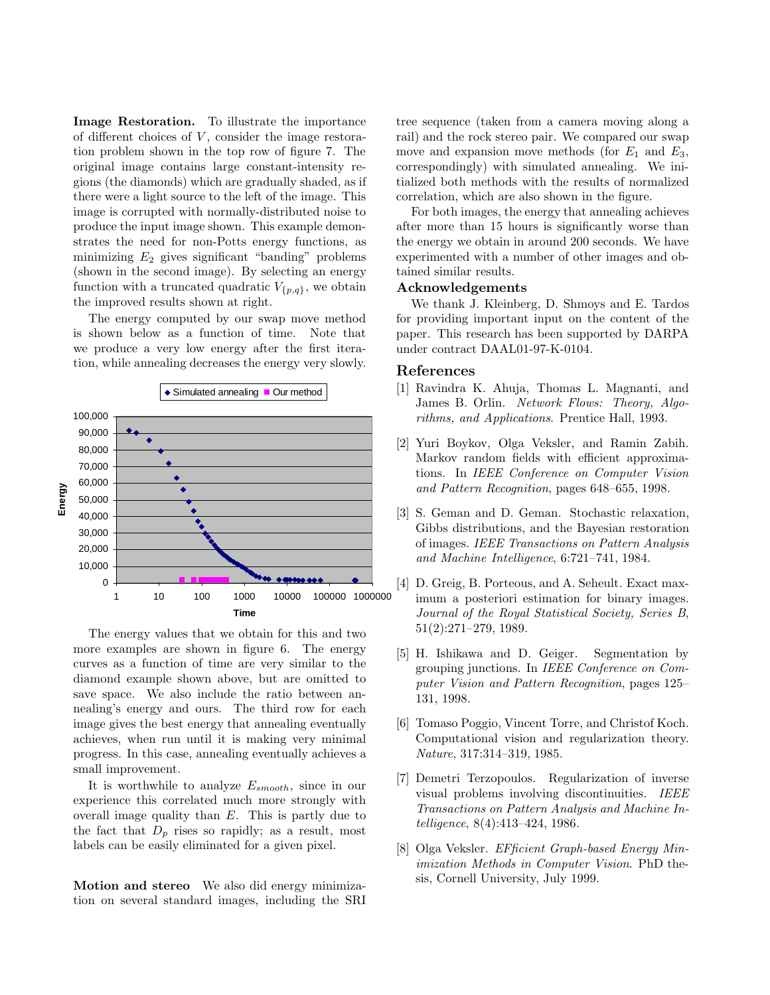**Image Restoration.** To illustrate the importance of different choices of  $V$ , consider the image restoration problem shown in the top row of figure 7. The original image contains large constant-intensity regions (the diamonds) which are gradually shaded, as if there were a light source to the left of the image. This image is corrupted with normally-distributed noise to produce the input image shown. This example demonstrates the need for non-Potts energy functions, as minimizing  $E_2$  gives significant "banding" problems (shown in the second image). By selecting an energy function with a truncated quadratic  $V_{\{p,q\}}$ , we obtain the improved results shown at right.

The energy computed by our swap move method is shown below as a function of time. Note that we produce a very low energy after the first iteration, while annealing decreases the energy very slowly.



The energy values that we obtain for this and two more examples are shown in figure 6. The energy curves as a function of time are very similar to the diamond example shown above, but are omitted to save space. We also include the ratio between annealing's energy and ours. The third row for each image gives the best energy that annealing eventually achieves, when run until it is making very minimal progress. In this case, annealing eventually achieves a small improvement.

It is worthwhile to analyze  $E_{smooth}$ , since in our experience this correlated much more strongly with overall image quality than  $E$ . This is partly due to the fact that  $D_p$  rises so rapidly; as a result, most labels can be easily eliminated for a given pixel.

**Motion and stereo** We also did energy minimization on several standard images, including the SRI tree sequence (taken from a camera moving along a rail) and the rock stereo pair. We compared our swap move and expansion move methods (for  $E_1$  and  $E_3$ , correspondingly) with simulated annealing. We initialized both methods with the results of normalized correlation, which are also shown in the figure.

For both images, the energy that annealing achieves after more than 15 hours is significantly worse than the energy we obtain in around 200 seconds. We have experimented with a number of other images and obtained similar results.

### **Acknowledgements**

We thank J. Kleinberg, D. Shmoys and E. Tardos for providing important input on the content of the paper. This research has been supported by DARPA under contract DAAL01-97-K-0104.

## **References**

- [1] Ravindra K. Ahuja, Thomas L. Magnanti, and James B. Orlin. *Network Flows: Theory, Algorithms, and Applications*. Prentice Hall, 1993.
- [2] Yuri Boykov, Olga Veksler, and Ramin Zabih. Markov random fields with efficient approximations. In *IEEE Conference on Computer Vision and Pattern Recognition*, pages 648–655, 1998.
- [3] S. Geman and D. Geman. Stochastic relaxation, Gibbs distributions, and the Bayesian restoration of images. *IEEE Transactions on Pattern Analysis and Machine Intelligence*, 6:721–741, 1984.
- [4] D. Greig, B. Porteous, and A. Seheult. Exact maximum a posteriori estimation for binary images. *Journal of the Royal Statistical Society, Series B*, 51(2):271–279, 1989.
- [5] H. Ishikawa and D. Geiger. Segmentation by grouping junctions. In *IEEE Conference on Computer Vision and Pattern Recognition*, pages 125– 131, 1998.
- [6] Tomaso Poggio, Vincent Torre, and Christof Koch. Computational vision and regularization theory. *Nature*, 317:314–319, 1985.
- [7] Demetri Terzopoulos. Regularization of inverse visual problems involving discontinuities. *IEEE Transactions on Pattern Analysis and Machine Intelligence*, 8(4):413–424, 1986.
- [8] Olga Veksler. *EFficient Graph-based Energy Minimization Methods in Computer Vision*. PhD thesis, Cornell University, July 1999.